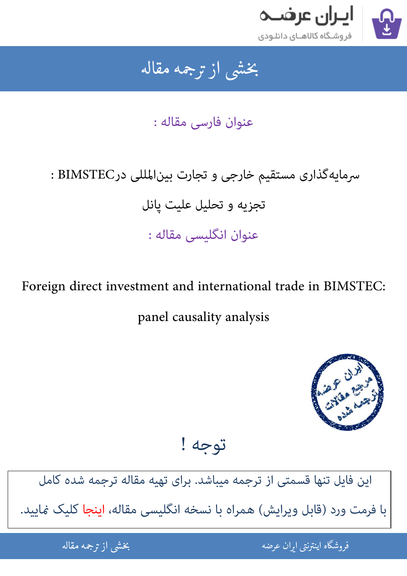

## جمه مقاله شی از تر بخشی از :

عنوان فارسی مقاله :

## : BIMSTEC در BIMSTEC در BIMSTEC تجزیه و تحلیل علیت یانل عنوان انگلیسی مقاله :

Foreign direct investment and international trade in BIMSTEC: panel causality analysis



توجه !

[این فایل تنها قسمتی از ترجمه میباشد. برای تهیه مقاله ترجمه شده کامل](http://iranarze.ir/foreign+direct+investment+international+trade+bimstec+causality)  با فرمت ورد (قابل ویرایش) همراه با نسخه انگلیسی مقاله، اینجا کلیک غایید.

> ֦֘ ه اينترنتي ايران عرضه مستخدم استخدام المستخدم المستخدم المستخدم المستخدم المستخدم المستخدم المستخدم المستخدم ا ֚֚֚֚֚֚֚֚֚֚֚֚֚֚֚֚֚֚֚֚֚֬֡֡֡֡֡֡֡֡֡֡֬֝֡֡֡֡֬֓֡֡֬

شی از ترجمه <mark>مقا</mark>له